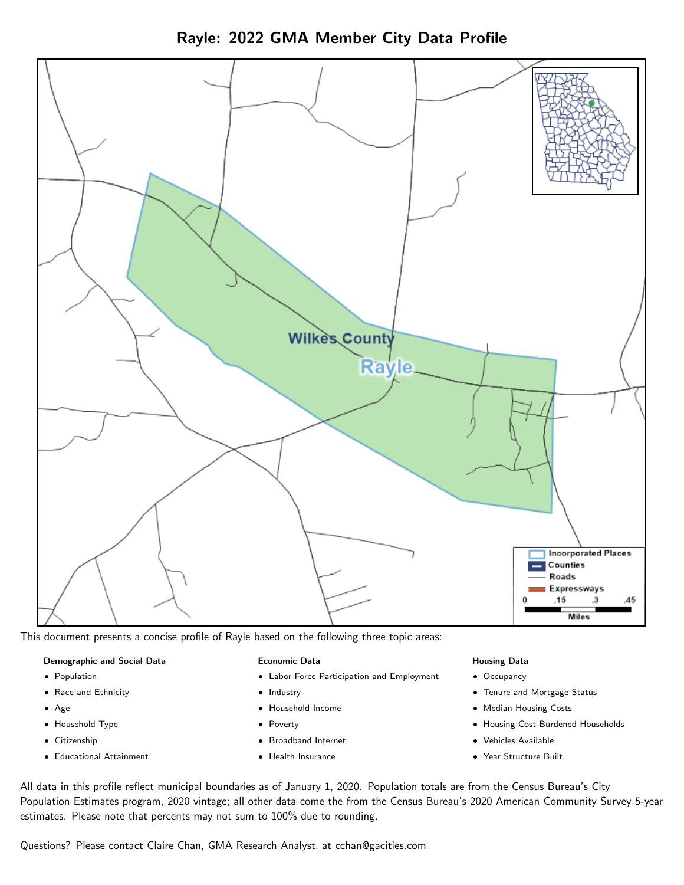



This document presents a concise profile of Rayle based on the following three topic areas:

#### Demographic and Social Data

- **•** Population
- Race and Ethnicity
- Age
- Household Type
- **Citizenship**
- Educational Attainment

#### Economic Data

- Labor Force Participation and Employment
- Industry
- Household Income
- Poverty
- Broadband Internet
- Health Insurance

#### Housing Data

- Occupancy
- Tenure and Mortgage Status
- Median Housing Costs
- Housing Cost-Burdened Households
- Vehicles Available
- Year Structure Built

All data in this profile reflect municipal boundaries as of January 1, 2020. Population totals are from the Census Bureau's City Population Estimates program, 2020 vintage; all other data come the from the Census Bureau's 2020 American Community Survey 5-year estimates. Please note that percents may not sum to 100% due to rounding.

Questions? Please contact Claire Chan, GMA Research Analyst, at [cchan@gacities.com.](mailto:cchan@gacities.com)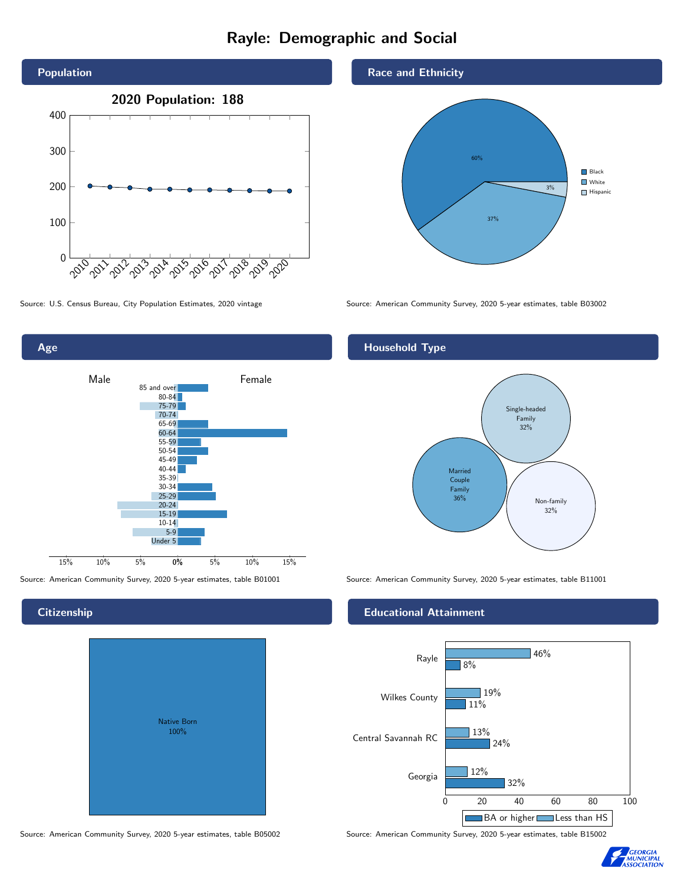# Rayle: Demographic and Social





# **Citizenship**

| <b>Native Born</b><br>100% |  |
|----------------------------|--|

Race and Ethnicity



Source: U.S. Census Bureau, City Population Estimates, 2020 vintage Source: American Community Survey, 2020 5-year estimates, table B03002

## Household Type



Source: American Community Survey, 2020 5-year estimates, table B01001 Source: American Community Survey, 2020 5-year estimates, table B11001

## Educational Attainment



Source: American Community Survey, 2020 5-year estimates, table B05002 Source: American Community Survey, 2020 5-year estimates, table B15002

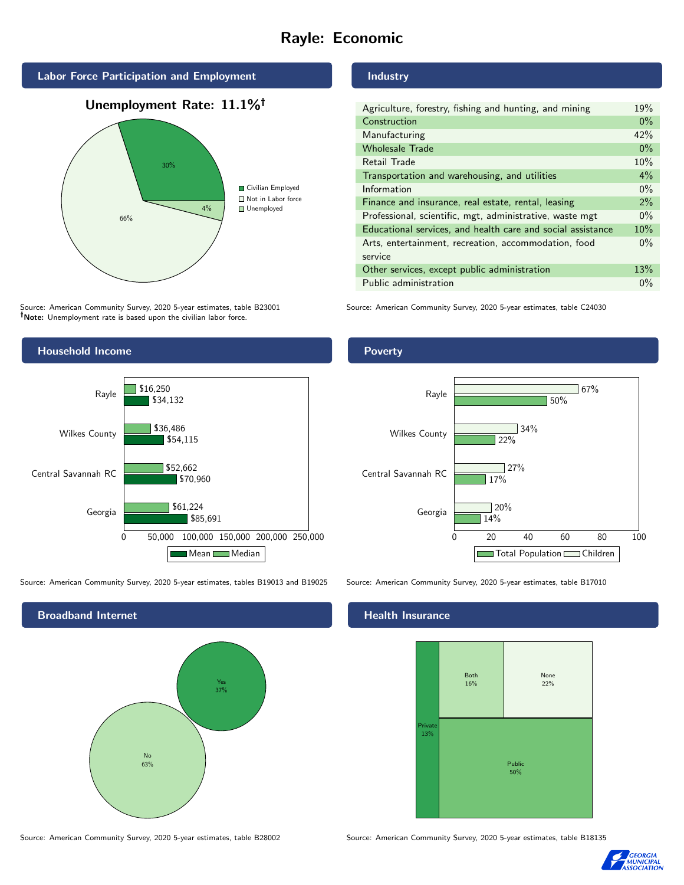# Rayle: Economic



# Unemployment Rate: 11.1%



Source: American Community Survey, 2020 5-year estimates, table B23001 Note: Unemployment rate is based upon the civilian labor force.



Source: American Community Survey, 2020 5-year estimates, tables B19013 and B19025 Source: American Community Survey, 2020 5-year estimates, table B17010



Source: American Community Survey, 2020 5-year estimates, table B28002 Source: American Community Survey, 2020 5-year estimates, table B18135

Industry

| Agriculture, forestry, fishing and hunting, and mining      | 19%   |
|-------------------------------------------------------------|-------|
| Construction                                                | $0\%$ |
| Manufacturing                                               | 42%   |
| <b>Wholesale Trade</b>                                      | $0\%$ |
| Retail Trade                                                | 10%   |
| Transportation and warehousing, and utilities               |       |
| Information                                                 | $0\%$ |
| Finance and insurance, real estate, rental, leasing         |       |
| Professional, scientific, mgt, administrative, waste mgt    |       |
| Educational services, and health care and social assistance |       |
| Arts, entertainment, recreation, accommodation, food        |       |
| service                                                     |       |
| Other services, except public administration                |       |
| Public administration                                       |       |

Source: American Community Survey, 2020 5-year estimates, table C24030

**Poverty** 



## Health Insurance